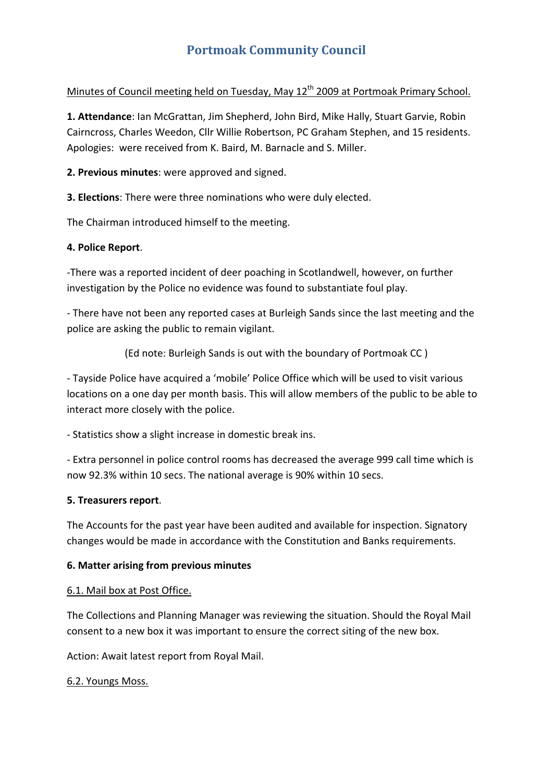# **Portmoak Community Council**

# Minutes of Council meeting held on Tuesday, May 12<sup>th</sup> 2009 at Portmoak Primary School.

**1. Attendance**: Ian McGrattan, Jim Shepherd, John Bird, Mike Hally, Stuart Garvie, Robin Cairncross, Charles Weedon, Cllr Willie Robertson, PC Graham Stephen, and 15 residents. Apologies: were received from K. Baird, M. Barnacle and S. Miller.

**2. Previous minutes**: were approved and signed.

**3. Elections**: There were three nominations who were duly elected.

The Chairman introduced himself to the meeting.

#### **4. Police Report**.

‐There was a reported incident of deer poaching in Scotlandwell, however, on further investigation by the Police no evidence was found to substantiate foul play.

‐ There have not been any reported cases at Burleigh Sands since the last meeting and the police are asking the public to remain vigilant.

(Ed note: Burleigh Sands is out with the boundary of Portmoak CC )

‐ Tayside Police have acquired a 'mobile' Police Office which will be used to visit various locations on a one day per month basis. This will allow members of the public to be able to interact more closely with the police.

‐ Statistics show a slight increase in domestic break ins.

‐ Extra personnel in police control rooms has decreased the average 999 call time which is now 92.3% within 10 secs. The national average is 90% within 10 secs.

#### **5. Treasurers report**.

The Accounts for the past year have been audited and available for inspection. Signatory changes would be made in accordance with the Constitution and Banks requirements.

#### **6. Matter arising from previous minutes**

#### 6.1. Mail box at Post Office.

The Collections and Planning Manager was reviewing the situation. Should the Royal Mail consent to a new box it was important to ensure the correct siting of the new box.

Action: Await latest report from Royal Mail.

#### 6.2. Youngs Moss.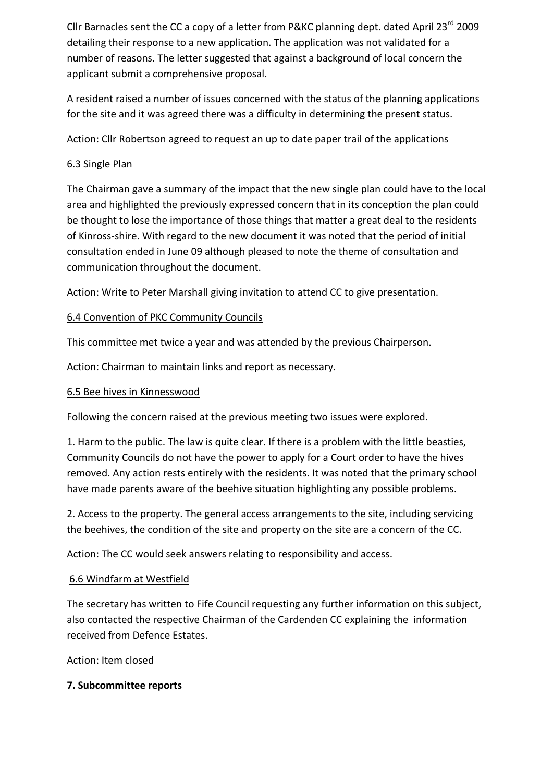Cllr Barnacles sent the CC a copy of a letter from P&KC planning dept. dated April 23 $^{\text{rd}}$  2009 detailing their response to a new application. The application was not validated for a number of reasons. The letter suggested that against a background of local concern the applicant submit a comprehensive proposal.

A resident raised a number of issues concerned with the status of the planning applications for the site and it was agreed there was a difficulty in determining the present status.

Action: Cllr Robertson agreed to request an up to date paper trail of the applications

## 6.3 Single Plan

The Chairman gave a summary of the impact that the new single plan could have to the local area and highlighted the previously expressed concern that in its conception the plan could be thought to lose the importance of those things that matter a great deal to the residents of Kinross‐shire. With regard to the new document it was noted that the period of initial consultation ended in June 09 although pleased to note the theme of consultation and communication throughout the document.

Action: Write to Peter Marshall giving invitation to attend CC to give presentation.

## 6.4 Convention of PKC Community Councils

This committee met twice a year and was attended by the previous Chairperson.

Action: Chairman to maintain links and report as necessary.

## 6.5 Bee hives in Kinnesswood

Following the concern raised at the previous meeting two issues were explored.

1. Harm to the public. The law is quite clear. If there is a problem with the little beasties, Community Councils do not have the power to apply for a Court order to have the hives removed. Any action rests entirely with the residents. It was noted that the primary school have made parents aware of the beehive situation highlighting any possible problems.

2. Access to the property. The general access arrangements to the site, including servicing the beehives, the condition of the site and property on the site are a concern of the CC.

Action: The CC would seek answers relating to responsibility and access.

## 6.6 Windfarm at Westfield

The secretary has written to Fife Council requesting any further information on this subject, also contacted the respective Chairman of the Cardenden CC explaining the information received from Defence Estates.

Action: Item closed

## **7. Subcommittee reports**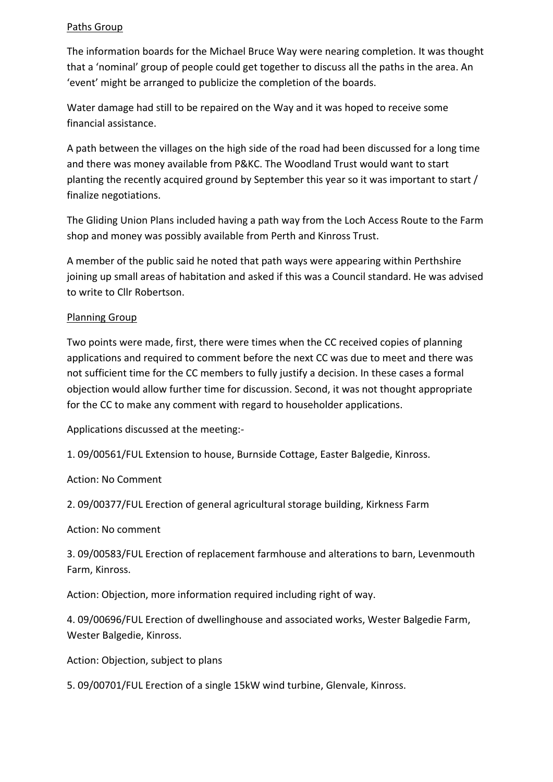#### Paths Group

The information boards for the Michael Bruce Way were nearing completion. It was thought that a 'nominal' group of people could get together to discuss all the paths in the area. An 'event' might be arranged to publicize the completion of the boards.

Water damage had still to be repaired on the Way and it was hoped to receive some financial assistance.

A path between the villages on the high side of the road had been discussed for a long time and there was money available from P&KC. The Woodland Trust would want to start planting the recently acquired ground by September this year so it was important to start / finalize negotiations.

The Gliding Union Plans included having a path way from the Loch Access Route to the Farm shop and money was possibly available from Perth and Kinross Trust.

A member of the public said he noted that path ways were appearing within Perthshire joining up small areas of habitation and asked if this was a Council standard. He was advised to write to Cllr Robertson.

## Planning Group

Two points were made, first, there were times when the CC received copies of planning applications and required to comment before the next CC was due to meet and there was not sufficient time for the CC members to fully justify a decision. In these cases a formal objection would allow further time for discussion. Second, it was not thought appropriate for the CC to make any comment with regard to householder applications.

Applications discussed at the meeting:‐

1. 09/00561/FUL Extension to house, Burnside Cottage, Easter Balgedie, Kinross.

Action: No Comment

2. 09/00377/FUL Erection of general agricultural storage building, Kirkness Farm

Action: No comment

3. 09/00583/FUL Erection of replacement farmhouse and alterations to barn, Levenmouth Farm, Kinross.

Action: Objection, more information required including right of way.

4. 09/00696/FUL Erection of dwellinghouse and associated works, Wester Balgedie Farm, Wester Balgedie, Kinross.

Action: Objection, subject to plans

5. 09/00701/FUL Erection of a single 15kW wind turbine, Glenvale, Kinross.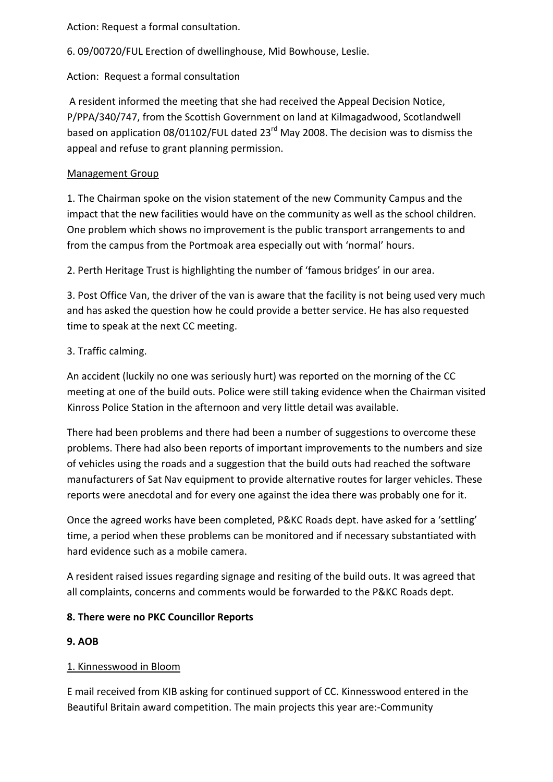Action: Request a formal consultation.

6. 09/00720/FUL Erection of dwellinghouse, Mid Bowhouse, Leslie.

Action: Request a formal consultation

A resident informed the meeting that she had received the Appeal Decision Notice, P/PPA/340/747, from the Scottish Government on land at Kilmagadwood, Scotlandwell based on application 08/01102/FUL dated 23<sup>rd</sup> May 2008. The decision was to dismiss the appeal and refuse to grant planning permission.

## Management Group

1. The Chairman spoke on the vision statement of the new Community Campus and the impact that the new facilities would have on the community as well as the school children. One problem which shows no improvement is the public transport arrangements to and from the campus from the Portmoak area especially out with 'normal' hours.

2. Perth Heritage Trust is highlighting the number of 'famous bridges' in our area.

3. Post Office Van, the driver of the van is aware that the facility is not being used very much and has asked the question how he could provide a better service. He has also requested time to speak at the next CC meeting.

# 3. Traffic calming.

An accident (luckily no one was seriously hurt) was reported on the morning of the CC meeting at one of the build outs. Police were still taking evidence when the Chairman visited Kinross Police Station in the afternoon and very little detail was available.

There had been problems and there had been a number of suggestions to overcome these problems. There had also been reports of important improvements to the numbers and size of vehicles using the roads and a suggestion that the build outs had reached the software manufacturers of Sat Nav equipment to provide alternative routes for larger vehicles. These reports were anecdotal and for every one against the idea there was probably one for it.

Once the agreed works have been completed, P&KC Roads dept. have asked for a 'settling' time, a period when these problems can be monitored and if necessary substantiated with hard evidence such as a mobile camera.

A resident raised issues regarding signage and resiting of the build outs. It was agreed that all complaints, concerns and comments would be forwarded to the P&KC Roads dept.

# **8. There were no PKC Councillor Reports**

# **9. AOB**

# 1. Kinnesswood in Bloom

E mail received from KIB asking for continued support of CC. Kinnesswood entered in the Beautiful Britain award competition. The main projects this year are:‐Community